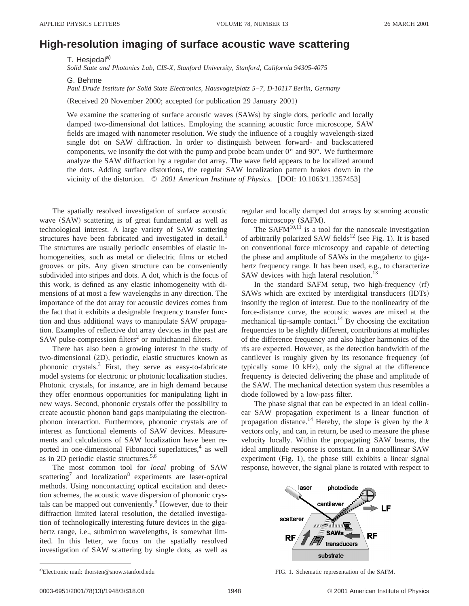## **High-resolution imaging of surface acoustic wave scattering**

T. Hesjedal<sup>a)</sup>

*Solid State and Photonics Lab, CIS-X, Stanford University, Stanford, California 94305-4075*

G. Behme

*Paul Drude Institute for Solid State Electronics, Hausvogteiplatz 5*–*7, D-10117 Berlin, Germany*

(Received 20 November 2000; accepted for publication 29 January 2001)

We examine the scattering of surface acoustic waves (SAWs) by single dots, periodic and locally damped two-dimensional dot lattices. Employing the scanning acoustic force microscope, SAW fields are imaged with nanometer resolution. We study the influence of a roughly wavelength-sized single dot on SAW diffraction. In order to distinguish between forward- and backscattered components, we insonify the dot with the pump and probe beam under  $0^{\circ}$  and  $90^{\circ}$ . We furthermore analyze the SAW diffraction by a regular dot array. The wave field appears to be localized around the dots. Adding surface distortions, the regular SAW localization pattern brakes down in the vicinity of the distortion.  $\degree$  *2001 American Institute of Physics.* [DOI: 10.1063/1.1357453]

The spatially resolved investigation of surface acoustic wave (SAW) scattering is of great fundamental as well as technological interest. A large variety of SAW scattering structures have been fabricated and investigated in detail.<sup>1</sup> The structures are usually periodic ensembles of elastic inhomogeneities, such as metal or dielectric films or etched grooves or pits. Any given structure can be conveniently subdivided into stripes and dots. A dot, which is the focus of this work, is defined as any elastic inhomogeneity with dimensions of at most a few wavelengths in any direction. The importance of the dot array for acoustic devices comes from the fact that it exhibits a designable frequency transfer function and thus additional ways to manipulate SAW propagation. Examples of reflective dot array devices in the past are SAW pulse-compression filters<sup>2</sup> or multichannel filters.

There has also been a growing interest in the study of two-dimensional (2D), periodic, elastic structures known as phononic crystals.3 First, they serve as easy-to-fabricate model systems for electronic or photonic localization studies. Photonic crystals, for instance, are in high demand because they offer enormous opportunities for manipulating light in new ways. Second, phononic crystals offer the possibility to create acoustic phonon band gaps manipulating the electronphonon interaction. Furthermore, phononic crystals are of interest as functional elements of SAW devices. Measurements and calculations of SAW localization have been reported in one-dimensional Fibonacci superlattices, $4$  as well as in 2D periodic elastic structures.<sup>5,6</sup>

The most common tool for *local* probing of SAW scattering<sup>7</sup> and localization<sup>8</sup> experiments are laser-optical methods. Using noncontacting optical excitation and detection schemes, the acoustic wave dispersion of phononic crystals can be mapped out conveniently.<sup>9</sup> However, due to their diffraction limited lateral resolution, the detailed investigation of technologically interesting future devices in the gigahertz range, i.e., submicron wavelengths, is somewhat limited. In this letter, we focus on the spatially resolved investigation of SAW scattering by single dots, as well as regular and locally damped dot arrays by scanning acoustic force microscopy (SAFM).

The SAF $\vec{M}^{10,11}$  is a tool for the nanoscale investigation of arbitrarily polarized SAW fields<sup>12</sup> (see Fig. 1). It is based on conventional force microscopy and capable of detecting the phase and amplitude of SAWs in the megahertz to gigahertz frequency range. It has been used, e.g., to characterize SAW devices with high lateral resolution.<sup>1</sup>

In the standard SAFM setup, two high-frequency  $(rf)$ SAWs which are excited by interdigital transducers (IDTs) insonify the region of interest. Due to the nonlinearity of the force-distance curve, the acoustic waves are mixed at the mechanical tip-sample contact.<sup>14</sup> By choosing the excitation frequencies to be slightly different, contributions at multiples of the difference frequency and also higher harmonics of the rfs are expected. However, as the detection bandwidth of the cantilever is roughly given by its resonance frequency (of typically some 10 kHz), only the signal at the difference frequency is detected delivering the phase and amplitude of the SAW. The mechanical detection system thus resembles a diode followed by a low-pass filter.

The phase signal that can be expected in an ideal collinear SAW propagation experiment is a linear function of propagation distance.<sup>14</sup> Hereby, the slope is given by the  $k$ vectors only, and can, in return, be used to measure the phase velocity locally. Within the propagating SAW beams, the ideal amplitude response is constant. In a noncollinear SAW experiment  $(Fig. 1)$ , the phase still exhibits a linear signal response, however, the signal plane is rotated with respect to



a)Electronic mail: thorsten@snow.stanford.edu

FIG. 1. Schematic representation of the SAFM.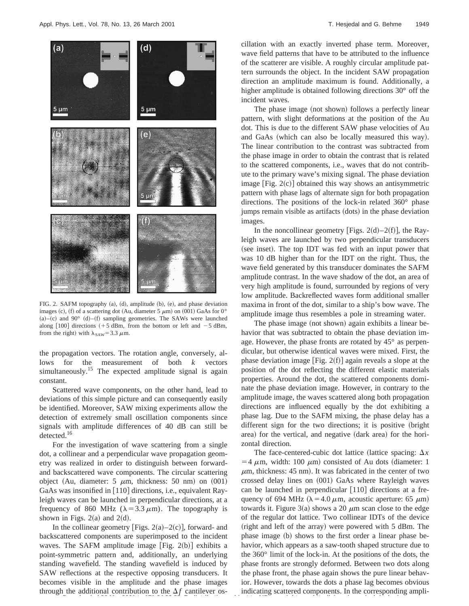

FIG. 2. SAFM topography  $(a)$ ,  $(d)$ , amplitude  $(b)$ ,  $(e)$ , and phase deviation images (c), (f) of a scattering dot (Au, diameter 5  $\mu$ m) on (001) GaAs for 0°  $(a)$ – $(c)$  and  $90^{\circ}$   $(d)$ – $(f)$  sampling geometries. The SAWs were launched along  $[100]$  directions  $(+5$  dBm, from the bottom or left and  $-5$  dBm, from the right) with  $\lambda_{\text{SAW}} = 3.3 \mu \text{m}$ .

the propagation vectors. The rotation angle, conversely, allows for the measurement of both *k* vectors simultaneously.<sup>15</sup> The expected amplitude signal is again constant.

Scattered wave components, on the other hand, lead to deviations of this simple picture and can consequently easily be identified. Moreover, SAW mixing experiments allow the detection of extremely small oscillation components since signals with amplitude differences of 40 dB can still be detected.<sup>16</sup>

For the investigation of wave scattering from a single dot, a collinear and a perpendicular wave propagation geometry was realized in order to distinguish between forwardand backscattered wave components. The circular scattering object (Au, diameter: 5  $\mu$ m, thickness: 50 nm) on (001) GaAs was insonified in  $[110]$  directions, i.e., equivalent Rayleigh waves can be launched in perpendicular directions, at a frequency of 860 MHz ( $\lambda$ =3.3  $\mu$ m). The topography is shown in Figs.  $2(a)$  and  $2(d)$ .

In the collinear geometry [Figs.  $2(a) - 2(c)$ ], forward- and backscattered components are superimposed to the incident waves. The SAFM amplitude image [Fig.  $2(b)$ ] exhibits a point-symmetric pattern and, additionally, an underlying standing wavefield. The standing wavefield is induced by SAW reflections at the respective opposing transducers. It becomes visible in the amplitude and the phase images through the additional contribution to the  $\Delta f$  cantilever os-**Downloaded 30 Mar 2001 to 171.64.99.88. Redistribution subject to AIP copyright, see http://ojps.aip.org/aplo/aplcr.jsp**

cillation with an exactly inverted phase term. Moreover, wave field patterns that have to be attributed to the influence of the scatterer are visible. A roughly circular amplitude pattern surrounds the object. In the incident SAW propagation direction an amplitude maximum is found. Additionally, a higher amplitude is obtained following directions 30° off the incident waves.

The phase image (not shown) follows a perfectly linear pattern, with slight deformations at the position of the Au dot. This is due to the different SAW phase velocities of Au and GaAs (which can also be locally measured this way). The linear contribution to the contrast was subtracted from the phase image in order to obtain the contrast that is related to the scattered components, i.e., waves that do not contribute to the primary wave's mixing signal. The phase deviation image  $[Fig. 2(c)]$  obtained this way shows an antisymmetric pattern with phase lags of alternate sign for both propagation directions. The positions of the lock-in related 360° phase jumps remain visible as artifacts (dots) in the phase deviation images.

In the noncollinear geometry [Figs. 2(d)–2(f)], the Rayleigh waves are launched by two perpendicular transducers (see inset). The top IDT was fed with an input power that was 10 dB higher than for the IDT on the right. Thus, the wave field generated by this transducer dominates the SAFM amplitude contrast. In the wave shadow of the dot, an area of very high amplitude is found, surrounded by regions of very low amplitude. Backreflected waves form additional smaller maxima in front of the dot, similar to a ship's bow wave. The amplitude image thus resembles a pole in streaming water.

The phase image (not shown) again exhibits a linear behavior that was subtracted to obtain the phase deviation image. However, the phase fronts are rotated by 45° as perpendicular, but otherwise identical waves were mixed. First, the phase deviation image [Fig.  $2(f)$ ] again reveals a slope at the position of the dot reflecting the different elastic materials properties. Around the dot, the scattered components dominate the phase deviation image. However, in contrary to the amplitude image, the waves scattered along both propagation directions are influenced equally by the dot exhibiting a phase lag. Due to the SAFM mixing, the phase delay has a different sign for the two directions; it is positive (bright area) for the vertical, and negative (dark area) for the horizontal direction.

The face-centered-cubic dot lattice (lattice spacing:  $\Delta x$  $=4 \mu m$ , width: 100  $\mu$ m) consisted of Au dots (diameter: 1  $\mu$ m, thickness: 45 nm). It was fabricated in the center of two crossed delay lines on  $(001)$  GaAs where Rayleigh waves can be launched in perpendicular  $\lfloor 110 \rfloor$  directions at a frequency of 694 MHz ( $\lambda = 4.0 \mu$ m, acoustic aperture: 65  $\mu$ m) towards it. Figure 3(a) shows a 20  $\mu$ m scan close to the edge of the regular dot lattice. Two collinear IDTs of the device  $(right$  and left of the array) were powered with 5 dBm. The phase image (b) shows to the first order a linear phase behavior, which appears as a saw-tooth shaped structure due to the 360° limit of the lock-in. At the positions of the dots, the phase fronts are strongly deformed. Between two dots along the phase front, the phase again shows the pure linear behavior. However, towards the dots a phase lag becomes obvious indicating scattered components. In the corresponding ampli-